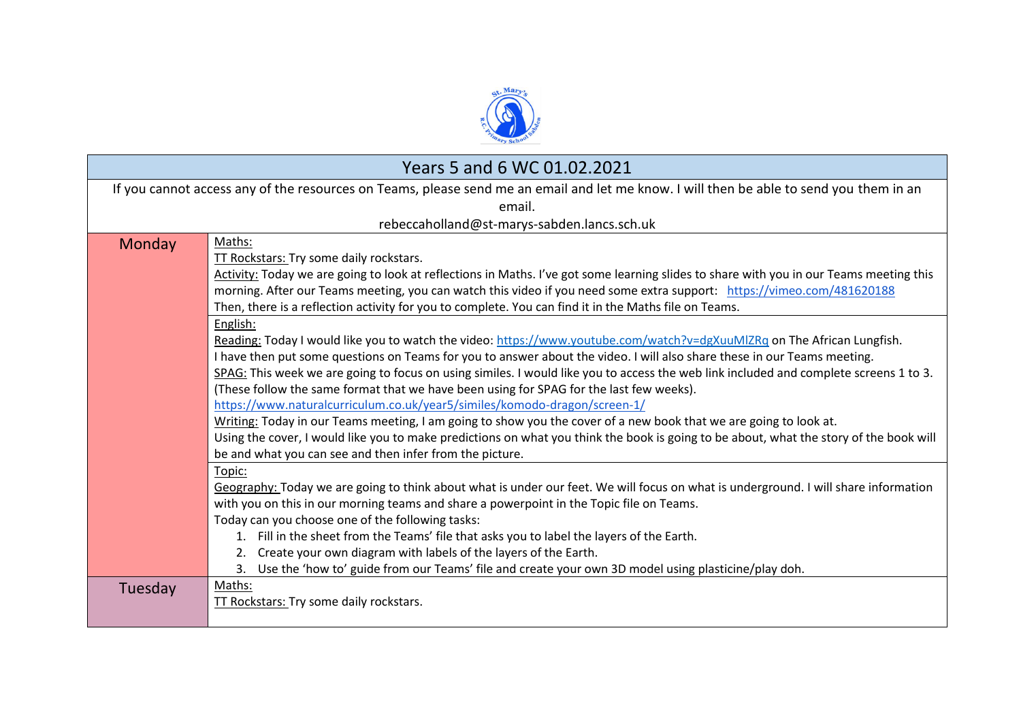

| Years 5 and 6 WC 01.02.2021                                                                                                             |                                                                                                                                                                      |  |
|-----------------------------------------------------------------------------------------------------------------------------------------|----------------------------------------------------------------------------------------------------------------------------------------------------------------------|--|
| If you cannot access any of the resources on Teams, please send me an email and let me know. I will then be able to send you them in an |                                                                                                                                                                      |  |
| email.                                                                                                                                  |                                                                                                                                                                      |  |
| rebeccaholland@st-marys-sabden.lancs.sch.uk                                                                                             |                                                                                                                                                                      |  |
| Monday                                                                                                                                  | Maths:                                                                                                                                                               |  |
|                                                                                                                                         | TT Rockstars: Try some daily rockstars.                                                                                                                              |  |
|                                                                                                                                         | Activity: Today we are going to look at reflections in Maths. I've got some learning slides to share with you in our Teams meeting this                              |  |
|                                                                                                                                         | morning. After our Teams meeting, you can watch this video if you need some extra support: https://vimeo.com/481620188                                               |  |
|                                                                                                                                         | Then, there is a reflection activity for you to complete. You can find it in the Maths file on Teams.                                                                |  |
|                                                                                                                                         | English:                                                                                                                                                             |  |
|                                                                                                                                         | Reading: Today I would like you to watch the video: https://www.youtube.com/watch?v=dgXuuMIZRq on The African Lungfish.                                              |  |
|                                                                                                                                         | I have then put some questions on Teams for you to answer about the video. I will also share these in our Teams meeting.                                             |  |
|                                                                                                                                         | SPAG: This week we are going to focus on using similes. I would like you to access the web link included and complete screens 1 to 3.                                |  |
|                                                                                                                                         | (These follow the same format that we have been using for SPAG for the last few weeks).<br>https://www.naturalcurriculum.co.uk/year5/similes/komodo-dragon/screen-1/ |  |
|                                                                                                                                         | Writing: Today in our Teams meeting, I am going to show you the cover of a new book that we are going to look at.                                                    |  |
|                                                                                                                                         | Using the cover, I would like you to make predictions on what you think the book is going to be about, what the story of the book will                               |  |
|                                                                                                                                         | be and what you can see and then infer from the picture.                                                                                                             |  |
|                                                                                                                                         | Topic:                                                                                                                                                               |  |
|                                                                                                                                         | Geography: Today we are going to think about what is under our feet. We will focus on what is underground. I will share information                                  |  |
|                                                                                                                                         | with you on this in our morning teams and share a powerpoint in the Topic file on Teams.                                                                             |  |
|                                                                                                                                         | Today can you choose one of the following tasks:                                                                                                                     |  |
|                                                                                                                                         | 1. Fill in the sheet from the Teams' file that asks you to label the layers of the Earth.                                                                            |  |
|                                                                                                                                         | Create your own diagram with labels of the layers of the Earth.<br>2.                                                                                                |  |
|                                                                                                                                         | Use the 'how to' guide from our Teams' file and create your own 3D model using plasticine/play doh.<br>3.                                                            |  |
| Tuesday                                                                                                                                 | Maths:                                                                                                                                                               |  |
|                                                                                                                                         | TT Rockstars: Try some daily rockstars.                                                                                                                              |  |
|                                                                                                                                         |                                                                                                                                                                      |  |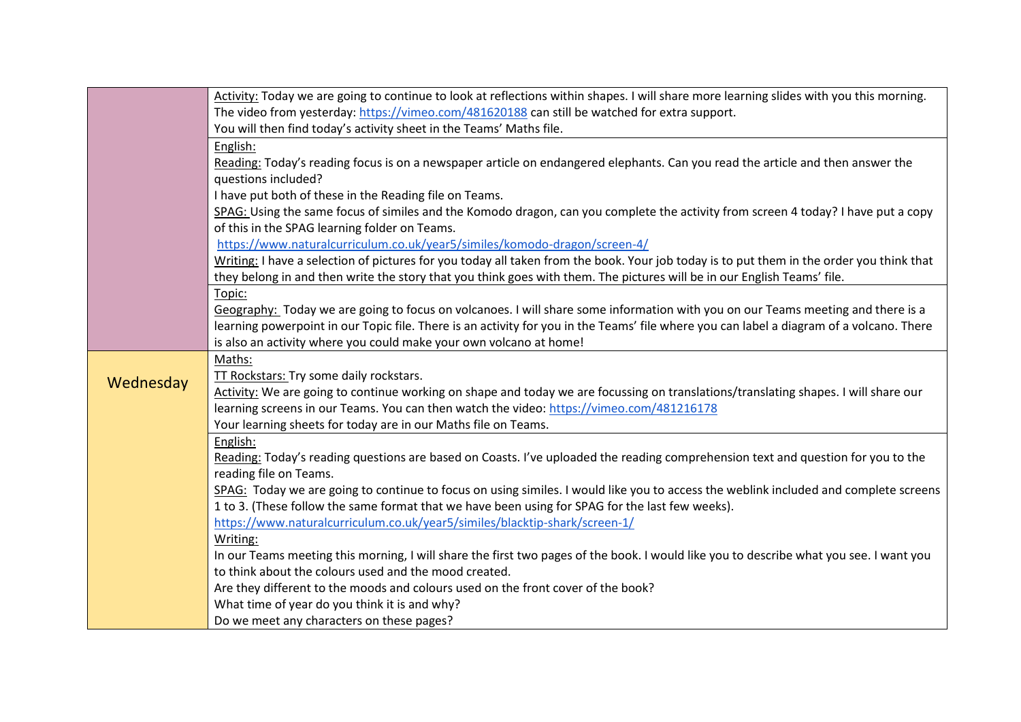|           | Activity: Today we are going to continue to look at reflections within shapes. I will share more learning slides with you this morning.  |
|-----------|------------------------------------------------------------------------------------------------------------------------------------------|
|           | The video from yesterday: https://vimeo.com/481620188 can still be watched for extra support.                                            |
|           | You will then find today's activity sheet in the Teams' Maths file.                                                                      |
|           | English:                                                                                                                                 |
|           | Reading: Today's reading focus is on a newspaper article on endangered elephants. Can you read the article and then answer the           |
|           | questions included?                                                                                                                      |
|           | I have put both of these in the Reading file on Teams.                                                                                   |
|           | SPAG: Using the same focus of similes and the Komodo dragon, can you complete the activity from screen 4 today? I have put a copy        |
|           | of this in the SPAG learning folder on Teams.                                                                                            |
|           | https://www.naturalcurriculum.co.uk/year5/similes/komodo-dragon/screen-4/                                                                |
|           | Writing: I have a selection of pictures for you today all taken from the book. Your job today is to put them in the order you think that |
|           | they belong in and then write the story that you think goes with them. The pictures will be in our English Teams' file.                  |
|           | Topic:                                                                                                                                   |
|           | Geography: Today we are going to focus on volcanoes. I will share some information with you on our Teams meeting and there is a          |
|           | learning powerpoint in our Topic file. There is an activity for you in the Teams' file where you can label a diagram of a volcano. There |
|           | is also an activity where you could make your own volcano at home!                                                                       |
|           | Maths:                                                                                                                                   |
| Wednesday | TT Rockstars: Try some daily rockstars.                                                                                                  |
|           | Activity: We are going to continue working on shape and today we are focussing on translations/translating shapes. I will share our      |
|           | learning screens in our Teams. You can then watch the video: https://vimeo.com/481216178                                                 |
|           | Your learning sheets for today are in our Maths file on Teams.                                                                           |
|           | English:                                                                                                                                 |
|           | Reading: Today's reading questions are based on Coasts. I've uploaded the reading comprehension text and question for you to the         |
|           | reading file on Teams.                                                                                                                   |
|           | SPAG: Today we are going to continue to focus on using similes. I would like you to access the weblink included and complete screens     |
|           | 1 to 3. (These follow the same format that we have been using for SPAG for the last few weeks).                                          |
|           | https://www.naturalcurriculum.co.uk/year5/similes/blacktip-shark/screen-1/                                                               |
|           | Writing:                                                                                                                                 |
|           | In our Teams meeting this morning, I will share the first two pages of the book. I would like you to describe what you see. I want you   |
|           | to think about the colours used and the mood created.                                                                                    |
|           | Are they different to the moods and colours used on the front cover of the book?                                                         |
|           | What time of year do you think it is and why?                                                                                            |
|           | Do we meet any characters on these pages?                                                                                                |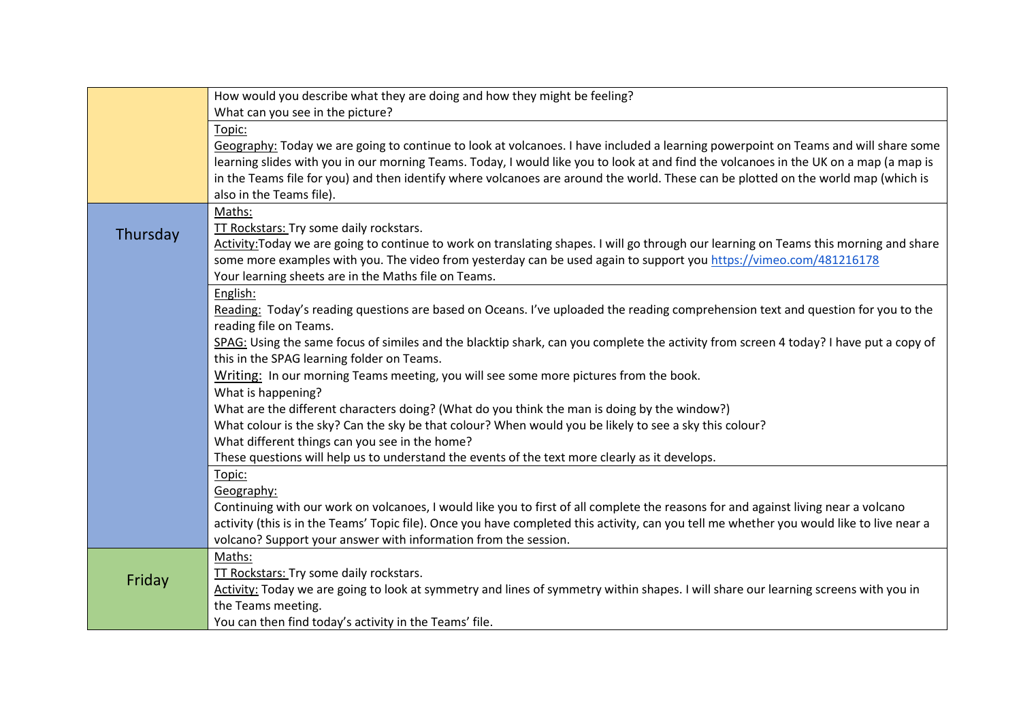|          | How would you describe what they are doing and how they might be feeling?                                                                 |
|----------|-------------------------------------------------------------------------------------------------------------------------------------------|
|          | What can you see in the picture?                                                                                                          |
|          | Topic:                                                                                                                                    |
|          | Geography: Today we are going to continue to look at volcanoes. I have included a learning powerpoint on Teams and will share some        |
|          | learning slides with you in our morning Teams. Today, I would like you to look at and find the volcanoes in the UK on a map (a map is     |
|          | in the Teams file for you) and then identify where volcanoes are around the world. These can be plotted on the world map (which is        |
|          | also in the Teams file).                                                                                                                  |
|          | Maths:                                                                                                                                    |
| Thursday | TT Rockstars: Try some daily rockstars.                                                                                                   |
|          | Activity: Today we are going to continue to work on translating shapes. I will go through our learning on Teams this morning and share    |
|          | some more examples with you. The video from yesterday can be used again to support you https://vimeo.com/481216178                        |
|          | Your learning sheets are in the Maths file on Teams.                                                                                      |
|          | English:                                                                                                                                  |
|          | Reading: Today's reading questions are based on Oceans. I've uploaded the reading comprehension text and question for you to the          |
|          | reading file on Teams.                                                                                                                    |
|          | SPAG: Using the same focus of similes and the blacktip shark, can you complete the activity from screen 4 today? I have put a copy of     |
|          | this in the SPAG learning folder on Teams.                                                                                                |
|          | Writing: In our morning Teams meeting, you will see some more pictures from the book.                                                     |
|          | What is happening?                                                                                                                        |
|          | What are the different characters doing? (What do you think the man is doing by the window?)                                              |
|          | What colour is the sky? Can the sky be that colour? When would you be likely to see a sky this colour?                                    |
|          | What different things can you see in the home?                                                                                            |
|          | These questions will help us to understand the events of the text more clearly as it develops.                                            |
|          | Topic:                                                                                                                                    |
|          | Geography:                                                                                                                                |
|          | Continuing with our work on volcanoes, I would like you to first of all complete the reasons for and against living near a volcano        |
|          | activity (this is in the Teams' Topic file). Once you have completed this activity, can you tell me whether you would like to live near a |
|          | volcano? Support your answer with information from the session.                                                                           |
| Friday   | Maths:                                                                                                                                    |
|          | <b>TT Rockstars: Try some daily rockstars.</b>                                                                                            |
|          | Activity: Today we are going to look at symmetry and lines of symmetry within shapes. I will share our learning screens with you in       |
|          | the Teams meeting.                                                                                                                        |
|          | You can then find today's activity in the Teams' file.                                                                                    |